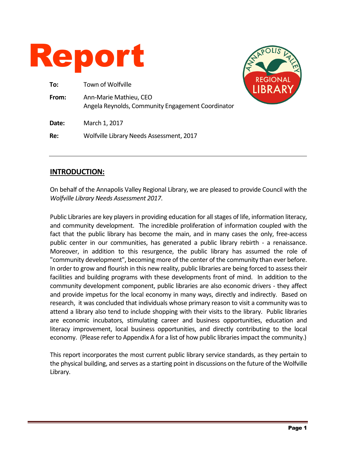

| To:   | Town of Wolfville                                                           |  |
|-------|-----------------------------------------------------------------------------|--|
| From: | Ann-Marie Mathieu, CEO<br>Angela Reynolds, Community Engagement Coordinator |  |
| Date: | March 1, 2017                                                               |  |

**Re:** Wolfville Library Needs Assessment, 2017

# **INTRODUCTION:**

On behalf of the Annapolis Valley Regional Library, we are pleased to provide Council with the *Wolfville Library Needs Assessment 2017*.

Public Libraries are key players in providing education for all stages of life, information literacy, and community development. The incredible proliferation of information coupled with the fact that the public library has become the main, and in many cases the only, free-access public center in our communities, has generated a public library rebirth - a renaissance. Moreover, in addition to this resurgence, the public library has assumed the role of "community development", becoming more of the center of the community than ever before. In order to grow and flourish in this new reality, public libraries are being forced to assess their facilities and building programs with these developments front of mind. In addition to the community development component, public libraries are also economic drivers - they affect and provide impetus for the local economy in many ways, directly and indirectly. Based on research, it was concluded that individuals whose primary reason to visit a community was to attend a library also tend to include shopping with their visits to the library. Public libraries are economic incubators, stimulating career and business opportunities, education and literacy improvement, local business opportunities, and directly contributing to the local economy. (Please refer to Appendix A for a list of how public libraries impact the community.)

This report incorporates the most current public library service standards, as they pertain to the physical building, and serves as a starting point in discussions on the future of the Wolfville Library.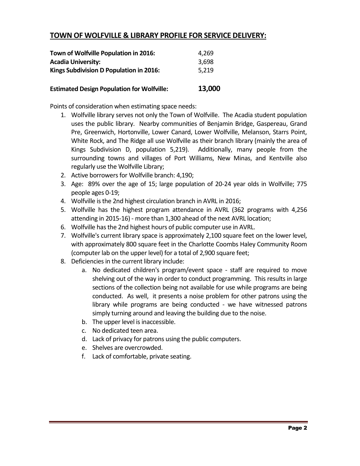# **TOWN OF WOLFVILLE & LIBRARY PROFILE FOR SERVICE DELIVERY:**

| <b>Estimated Design Population for Wolfville:</b> | 13,000 |
|---------------------------------------------------|--------|
| Kings Subdivision D Population in 2016:           | 5,219  |
| <b>Acadia University:</b>                         | 3,698  |
| Town of Wolfville Population in 2016:             | 4,269  |

Points of consideration when estimating space needs:

- 1. Wolfville library serves not only the Town of Wolfville. The Acadia student population uses the public library. Nearby communities of Benjamin Bridge, Gaspereau, Grand Pre, Greenwich, Hortonville, Lower Canard, Lower Wolfville, Melanson, Starrs Point, White Rock, and The Ridge all use Wolfville as their branch library (mainly the area of Kings Subdivision D, population 5,219). Additionally, many people from the surrounding towns and villages of Port Williams, New Minas, and Kentville also regularly use the Wolfville Library;
- 2. Active borrowers for Wolfville branch: 4,190;
- 3. Age: 89% over the age of 15; large population of 20-24 year olds in Wolfville; 775 people ages 0-19;
- 4. Wolfville is the 2nd highest circulation branch in AVRL in 2016;
- 5. Wolfville has the highest program attendance in AVRL (362 programs with 4,256 attending in 2015-16) - more than 1,300 ahead of the next AVRL location;
- 6. Wolfville has the 2nd highest hours of public computer use in AVRL.
- 7. Wolfville's current library space is approximately 2,100 square feet on the lower level, with approximately 800 square feet in the Charlotte Coombs Haley Community Room (computer lab on the upper level) for a total of 2,900 square feet;
- 8. Deficiencies in the current library include:
	- a. No dedicated children's program/event space staff are required to move shelving out of the way in order to conduct programming. This results in large sections of the collection being not available for use while programs are being conducted. As well, it presents a noise problem for other patrons using the library while programs are being conducted - we have witnessed patrons simply turning around and leaving the building due to the noise.
	- b. The upper level is inaccessible.
	- c. No dedicated teen area.
	- d. Lack of privacy for patrons using the public computers.
	- e. Shelves are overcrowded.
	- f. Lack of comfortable, private seating.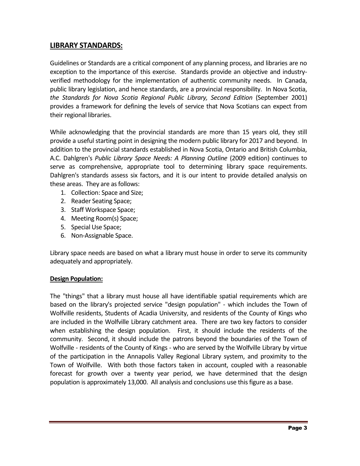#### **LIBRARY STANDARDS:**

Guidelines or Standards are a critical component of any planning process, and libraries are no exception to the importance of this exercise. Standards provide an objective and industryverified methodology for the implementation of authentic community needs. In Canada, public library legislation, and hence standards, are a provincial responsibility. In Nova Scotia, *the Standards for Nova Scotia Regional Public Library, Second Edition* (September 2001) provides a framework for defining the levels of service that Nova Scotians can expect from their regional libraries.

While acknowledging that the provincial standards are more than 15 years old, they still provide a useful starting point in designing the modern public library for 2017 and beyond. In addition to the provincial standards established in Nova Scotia, Ontario and British Columbia, A.C. Dahlgren's *Public Library Space Needs: A Planning Outline* (2009 edition) continues to serve as comprehensive, appropriate tool to determining library space requirements. Dahlgren's standards assess six factors, and it is our intent to provide detailed analysis on these areas. They are as follows:

- 1. Collection: Space and Size;
- 2. Reader Seating Space;
- 3. Staff Workspace Space;
- 4. Meeting Room(s) Space;
- 5. Special Use Space;
- 6. Non-Assignable Space.

Library space needs are based on what a library must house in order to serve its community adequately and appropriately.

#### **Design Population:**

The "things" that a library must house all have identifiable spatial requirements which are based on the library's projected service "design population" - which includes the Town of Wolfville residents, Students of Acadia University, and residents of the County of Kings who are included in the Wolfville Library catchment area. There are two key factors to consider when establishing the design population. First, it should include the residents of the community. Second, it should include the patrons beyond the boundaries of the Town of Wolfville - residents of the County of Kings - who are served by the Wolfville Library by virtue of the participation in the Annapolis Valley Regional Library system, and proximity to the Town of Wolfville. With both those factors taken in account, coupled with a reasonable forecast for growth over a twenty year period, we have determined that the design population is approximately 13,000. All analysis and conclusions use this figure as a base.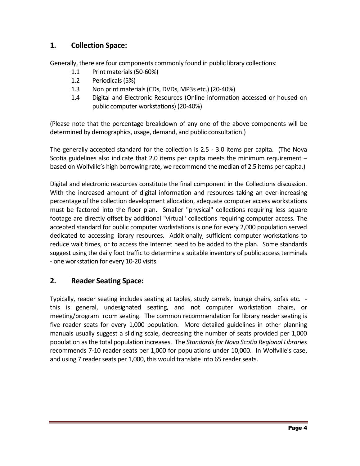# **1. Collection Space:**

Generally, there are four components commonly found in public library collections:

- 1.1 Print materials(50-60%)
- 1.2 Periodicals(5%)
- 1.3 Non print materials (CDs, DVDs, MP3s etc.) (20-40%)
- 1.4 Digital and Electronic Resources (Online information accessed or housed on public computer workstations) (20-40%)

(Please note that the percentage breakdown of any one of the above components will be determined by demographics, usage, demand, and public consultation.)

The generally accepted standard for the collection is 2.5 - 3.0 items per capita. (The Nova Scotia guidelines also indicate that 2.0 items per capita meets the minimum requirement – based on Wolfville's high borrowing rate, we recommend the median of 2.5 items per capita.)

Digital and electronic resources constitute the final component in the Collections discussion. With the increased amount of digital information and resources taking an ever-increasing percentage of the collection development allocation, adequate computer access workstations must be factored into the floor plan. Smaller "physical" collections requiring less square footage are directly offset by additional "virtual" collections requiring computer access. The accepted standard for public computer workstations is one for every 2,000 population served dedicated to accessing library resources. Additionally, sufficient computer workstations to reduce wait times, or to access the Internet need to be added to the plan. Some standards suggest using the daily foot traffic to determine a suitable inventory of public access terminals - one workstation for every 10-20 visits.

### **2. Reader Seating Space:**

Typically, reader seating includes seating at tables, study carrels, lounge chairs, sofas etc. this is general, undesignated seating, and not computer workstation chairs, or meeting/program room seating. The common recommendation for library reader seating is five reader seats for every 1,000 population. More detailed guidelines in other planning manuals usually suggest a sliding scale, decreasing the number of seats provided per 1,000 population as the total population increases. The *Standards for Nova Scotia Regional Libraries* recommends 7-10 reader seats per 1,000 for populations under 10,000. In Wolfville's case, and using 7 reader seats per 1,000, this would translate into 65 reader seats.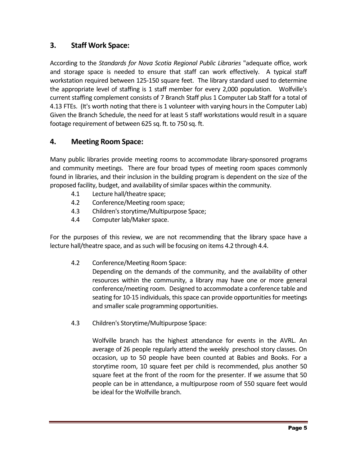# **3. Staff Work Space:**

According to the *Standards for Nova Scotia Regional Public Libraries* "adequate office, work and storage space is needed to ensure that staff can work effectively. A typical staff workstation required between 125-150 square feet. The library standard used to determine the appropriate level of staffing is 1 staff member for every 2,000 population. Wolfville's current staffing complement consists of 7 Branch Staff plus 1 Computer Lab Staff for a total of 4.13 FTEs. (It's worth noting that there is 1 volunteer with varying hours in the Computer Lab) Given the Branch Schedule, the need for at least 5 staff workstations would result in a square footage requirement of between 625 sq. ft. to 750 sq. ft.

# **4. Meeting Room Space:**

Many public libraries provide meeting rooms to accommodate library-sponsored programs and community meetings. There are four broad types of meeting room spaces commonly found in libraries, and their inclusion in the building program is dependent on the size of the proposed facility, budget, and availability of similar spaces within the community.

- 4.1 Lecture hall/theatre space;
- 4.2 Conference/Meeting room space;
- 4.3 Children's storytime/Multipurpose Space;
- 4.4 Computer lab/Maker space.

For the purposes of this review, we are not recommending that the library space have a lecture hall/theatre space, and as such will be focusing on items 4.2 through 4.4.

4.2 Conference/Meeting Room Space:

Depending on the demands of the community, and the availability of other resources within the community, a library may have one or more general conference/meeting room. Designed to accommodate a conference table and seating for 10-15 individuals, this space can provide opportunities for meetings and smaller scale programming opportunities.

4.3 Children's Storytime/Multipurpose Space:

Wolfville branch has the highest attendance for events in the AVRL. An average of 26 people regularly attend the weekly preschool story classes. On occasion, up to 50 people have been counted at Babies and Books. For a storytime room, 10 square feet per child is recommended, plus another 50 square feet at the front of the room for the presenter. If we assume that 50 people can be in attendance, a multipurpose room of 550 square feet would be ideal for the Wolfville branch.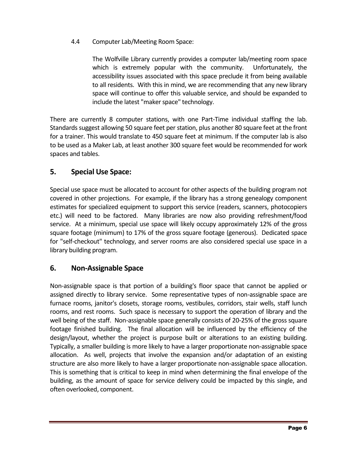#### 4.4 Computer Lab/Meeting Room Space:

The Wolfville Library currently provides a computer lab/meeting room space which is extremely popular with the community. Unfortunately, the accessibility issues associated with this space preclude it from being available to all residents. With this in mind, we are recommending that any new library space will continue to offer this valuable service, and should be expanded to include the latest "maker space" technology.

There are currently 8 computer stations, with one Part-Time individual staffing the lab. Standards suggest allowing 50 square feet per station, plus another 80 square feet at the front for a trainer. This would translate to 450 square feet at minimum. If the computer lab is also to be used as a Maker Lab, at least another 300 square feet would be recommended for work spaces and tables.

# **5. Special Use Space:**

Special use space must be allocated to account for other aspects of the building program not covered in other projections. For example, if the library has a strong genealogy component estimates for specialized equipment to support this service (readers, scanners, photocopiers etc.) will need to be factored. Many libraries are now also providing refreshment/food service. At a minimum, special use space will likely occupy approximately 12% of the gross square footage (minimum) to 17% of the gross square footage (generous). Dedicated space for "self-checkout" technology, and server rooms are also considered special use space in a library building program.

# **6. Non-Assignable Space**

Non-assignable space is that portion of a building's floor space that cannot be applied or assigned directly to library service. Some representative types of non-assignable space are furnace rooms, janitor's closets, storage rooms, vestibules, corridors, stair wells, staff lunch rooms, and rest rooms. Such space is necessary to support the operation of library and the well being of the staff. Non-assignable space generally consists of 20-25% of the gross square footage finished building. The final allocation will be influenced by the efficiency of the design/layout, whether the project is purpose built or alterations to an existing building. Typically, a smaller building is more likely to have a larger proportionate non-assignable space allocation. As well, projects that involve the expansion and/or adaptation of an existing structure are also more likely to have a larger proportionate non-assignable space allocation. This is something that is critical to keep in mind when determining the final envelope of the building, as the amount of space for service delivery could be impacted by this single, and often overlooked, component.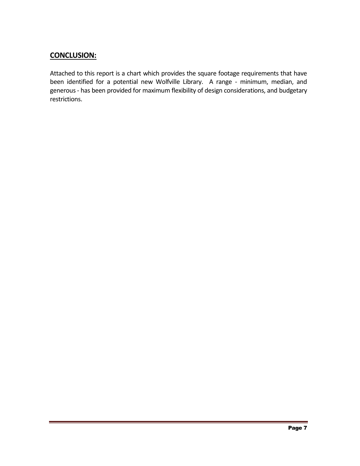# **CONCLUSION:**

Attached to this report is a chart which provides the square footage requirements that have been identified for a potential new Wolfville Library. A range - minimum, median, and generous - has been provided for maximum flexibility of design considerations, and budgetary restrictions.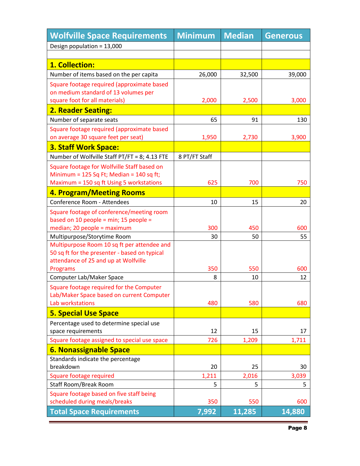| <b>Wolfville Space Requirements</b>                                                          | <b>Minimum</b> | <b>Median</b> | <b>Generous</b> |
|----------------------------------------------------------------------------------------------|----------------|---------------|-----------------|
| Design population = 13,000                                                                   |                |               |                 |
|                                                                                              |                |               |                 |
| 1. Collection:                                                                               |                |               |                 |
| Number of items based on the per capita                                                      | 26,000         | 32,500        | 39,000          |
| Square footage required (approximate based                                                   |                |               |                 |
| on medium standard of 13 volumes per                                                         |                |               |                 |
| square foot for all materials)                                                               | 2,000          | 2,500         | 3,000           |
| <b>2. Reader Seating:</b>                                                                    |                |               |                 |
| Number of separate seats                                                                     | 65             | 91            | 130             |
| Square footage required (approximate based                                                   |                |               |                 |
| on average 30 square feet per seat)                                                          | 1,950          | 2,730         | 3,900           |
| <b>3. Staff Work Space:</b>                                                                  |                |               |                 |
| Number of Wolfville Staff PT/FT = 8; 4.13 FTE                                                | 8 PT/FT Staff  |               |                 |
| Square footage for Wolfville Staff based on                                                  |                |               |                 |
| Minimum = $125$ Sq Ft; Median = $140$ sq ft;                                                 |                |               |                 |
| Maximum = 150 sq ft Using 5 workstations                                                     | 625            | 700           | 750             |
| 4. Program/Meeting Rooms                                                                     |                |               |                 |
| Conference Room - Attendees                                                                  | 10             | 15            | 20              |
| Square footage of conference/meeting room                                                    |                |               |                 |
| based on 10 people = min; 15 people =                                                        |                |               |                 |
| median; 20 people = maximum                                                                  | 300            | 450           | 600             |
| Multipurpose/Storytime Room                                                                  | 30             | 50            | 55              |
| Multipurpose Room 10 sq ft per attendee and<br>50 sq ft for the presenter - based on typical |                |               |                 |
| attendance of 25 and up at Wolfville                                                         |                |               |                 |
| Programs                                                                                     | 350            | 550           | 600             |
| Computer Lab/Maker Space                                                                     | 8              | 10            | 12              |
| Square footage required for the Computer                                                     |                |               |                 |
| Lab/Maker Space based on current Computer                                                    |                |               |                 |
| Lab workstations                                                                             | 480            | 580           | 680             |
| <b>5. Special Use Space</b>                                                                  |                |               |                 |
| Percentage used to determine special use                                                     |                |               |                 |
| space requirements                                                                           | 12             | 15            | 17              |
| Square footage assigned to special use space                                                 | 726            | 1,209         | 1,711           |
| <b>6. Nonassignable Space</b>                                                                |                |               |                 |
| Standards indicate the percentage                                                            |                |               |                 |
| breakdown                                                                                    | 20             | 25            | 30              |
| <b>Square footage required</b>                                                               | 1,211          | 2,016         | 3,039           |
| Staff Room/Break Room                                                                        | 5              | 5             | 5               |
| Square footage based on five staff being                                                     |                |               |                 |
| scheduled during meals/breaks                                                                | 350            | 550           | 600             |
| <b>Total Space Requirements</b>                                                              | 7,992          | 11,285        | 14,880          |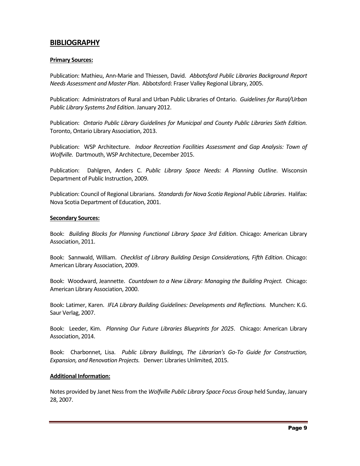#### **BIBLIOGRAPHY**

#### **Primary Sources:**

Publication: Mathieu, Ann-Marie and Thiessen, David. *Abbotsford Public Libraries Background Report Needs Assessment and Master Plan*. Abbotsford: Fraser Valley Regional Library, 2005.

Publication: Administrators of Rural and Urban Public Libraries of Ontario. *Guidelines for Rural/Urban Public Library Systems 2nd Edition*. January 2012.

Publication: *Ontario Public Library Guidelines for Municipal and County Public Libraries Sixth Edition.* Toronto, Ontario Library Association, 2013.

Publication: WSP Architecture. *Indoor Recreation Facilities Assessment and Gap Analysis: Town of Wolfville.* Dartmouth, WSP Architecture, December 2015.

Publication: Dahlgren, Anders C. *Public Library Space Needs: A Planning Outline*. Wisconsin Department of Public Instruction, 2009.

Publication: Council of Regional Librarians. *Standards for Nova Scotia Regional Public Libraries*. Halifax: Nova Scotia Department of Education, 2001.

#### **Secondary Sources:**

Book: *Building Blocks for Planning Functional Library Space 3rd Edition*. Chicago: American Library Association, 2011.

Book: Sannwald, William. *Checklist of Library Building Design Considerations, Fifth Edition*. Chicago: American Library Association, 2009.

Book: Woodward, Jeannette. *Countdown to a New Library: Managing the Building Project.* Chicago: American Library Association, 2000.

Book: Latimer, Karen. *IFLA Library Building Guidelines: Developments and Reflections.* Munchen: K.G. Saur Verlag, 2007.

Book: Leeder, Kim. *Planning Our Future Libraries Blueprints for 2025*. Chicago: American Library Association, 2014.

Book: Charbonnet, Lisa. *Public Library Buildings, The Librarian's Go-To Guide for Construction, Expansion, and Renovation Projects.* Denver: Libraries Unlimited, 2015.

#### **Additional Information:**

Notes provided by Janet Ness from the *Wolfville Public Library Space Focus Group* held Sunday, January 28, 2007.